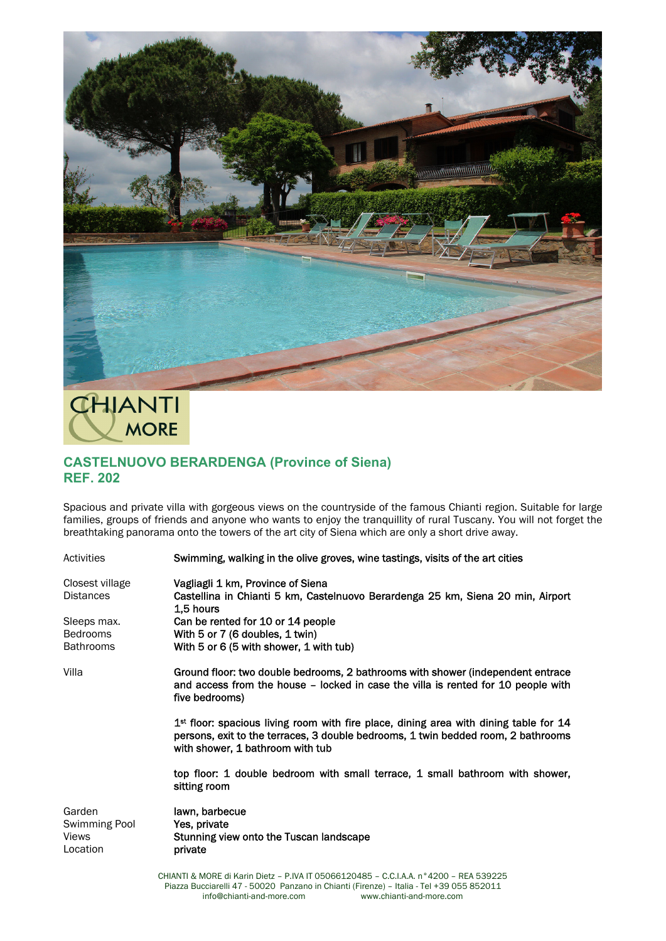

**CHIANTI MORE** 

## **CASTELNUOVO BERARDENGA (Province of Siena) REF. 202**

Spacious and private villa with gorgeous views on the countryside of the famous Chianti region. Suitable for large families, groups of friends and anyone who wants to enjoy the tranquillity of rural Tuscany. You will not forget the breathtaking panorama onto the towers of the art city of Siena which are only a short drive away.

| Activities                                   | Swimming, walking in the olive groves, wine tastings, visits of the art cities                                                                                                                                   |
|----------------------------------------------|------------------------------------------------------------------------------------------------------------------------------------------------------------------------------------------------------------------|
| Closest village<br><b>Distances</b>          | Vagliagli 1 km, Province of Siena<br>Castellina in Chianti 5 km, Castelnuovo Berardenga 25 km, Siena 20 min, Airport<br>1.5 hours                                                                                |
| Sleeps max.                                  | Can be rented for 10 or 14 people                                                                                                                                                                                |
| <b>Bedrooms</b>                              | With 5 or 7 (6 doubles, 1 twin)                                                                                                                                                                                  |
| <b>Bathrooms</b>                             | With 5 or 6 (5 with shower, 1 with tub)                                                                                                                                                                          |
| Villa                                        | Ground floor: two double bedrooms, 2 bathrooms with shower (independent entrace<br>and access from the house - locked in case the villa is rented for 10 people with<br>five bedrooms)                           |
|                                              | $1st$ floor: spacious living room with fire place, dining area with dining table for 14<br>persons, exit to the terraces, 3 double bedrooms, 1 twin bedded room, 2 bathrooms<br>with shower, 1 bathroom with tub |
|                                              | top floor: 1 double bedroom with small terrace, 1 small bathroom with shower,<br>sitting room                                                                                                                    |
| Garden<br>Swimming Pool<br>Views<br>Location | lawn, barbecue<br>Yes, private<br>Stunning view onto the Tuscan landscape<br>private                                                                                                                             |
|                                              | CHIANTI & MORE di Karin Dietz - P.IVA IT 05066120485 - C.C.I.A.A. n°4200 - REA 539225                                                                                                                            |